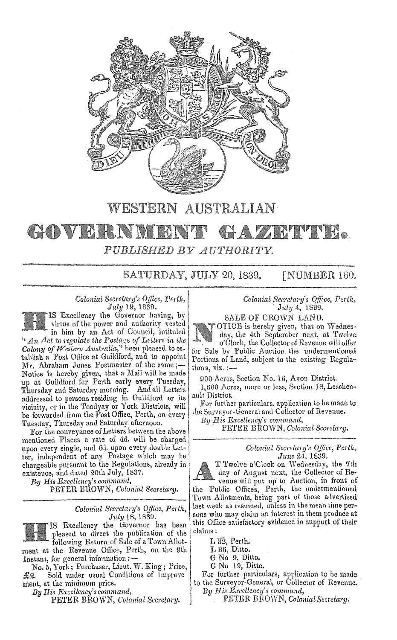

## WESTERN AUSTRALIAN

# GADVER PUBLISHED BY AUTHORITY.

SATURDAY, JULY 20, 1839. **[NUMBER 160.** 

# Colonial Secretary's Office, Perth,<br>July 19, 1839.

IS Excellency the Governor having, by virtue of the power and authority vested<br>in him by an Act of Council, intituled "An  $Act$  to regulate the Postage of Letters in the Colony of Western Australia," been pleased to establish a Post Office at Guildford, and to appoint Mr. Abraham Jones Postmaster of the same;-Notice is hereby given, that a Mail will be made up at Guildford for Perth early every Tuesday, Thursday and Saturday morning. And all Letters addressed to persons residing in Guildford or its vicinity, or in the Toodyay or York Districts, will be forwarded from the Post Office, Perth, on every Tuesday, Thursday and Saturday afternoon.

For the conveyance of Letters between the above mentioned Places a rate of 4d. will be charged upon every single, and 6d. upon every double Let-<br>ter, independent of any Postage which may be chargeable pursuant to the Regulations, already in existence, and dated 20th July, 1837.

By His Excellency's command,

PETER BROWN, Colonial Secretary.

### Colonial Secretary's Office, Perth, July 18, 1839.

IS Excellency the Governor has been pleased to direct the publication of the<br>following Return of Sale of a Town Allot-

ment at the Revenue Office, Perth, on the 9th Instant, for general information :-

No. 5, York; Purchaser, Lieut. W. King; Price, Sold under usual Conditions of Improve £2. ment, at the minimum price.

By His Excellency's command,

PETER BROWN, Colonial Secretary.

Colonial Secretary's Office, Perth, July 4, 1839.

SALE OF CROWN LAND.

OTICE is hereby given, that on Wednesday, the 4th September next, at Twelve o'Clock, the Collector of Revenue will offer for Sale by Public Auction the undermentioned Portions of Land, subject to the existing Regulations,  $viz$ .:-

900 Acres, Section No. 16, Avon District.

1,600 Acres, more or less, Section 18, Leschenault District.

For further particulars, application to be made to the Surveyor-General and Collector of Revenue.

Bu His Excellency's command,

PETER BROWN, Colonial Secretary.

Colonial Secretary's Office, Perth,<br>June 24, 1839.

T Twelve o'Clock on Wednesday, the 7th day of August next, the Collector of Revenue will put up to Auction, in front of

the Public Offices, Perth, the undermentioned Town Allotments, being part of those advertised last week as resumed, unless in the mean time persons who may claim an interest in them produce at this Office satisfactory evidence in support of their claims:

 $L 32$ , Perth.

L 36, Ditto.

G No 9, Ditto.

G No 19, Ditto.

For further particulars, application to be made to the Surveyor-General, or Collector of Revenue. By His Excellency's command,

PETER BROWN, Colonial Secretary.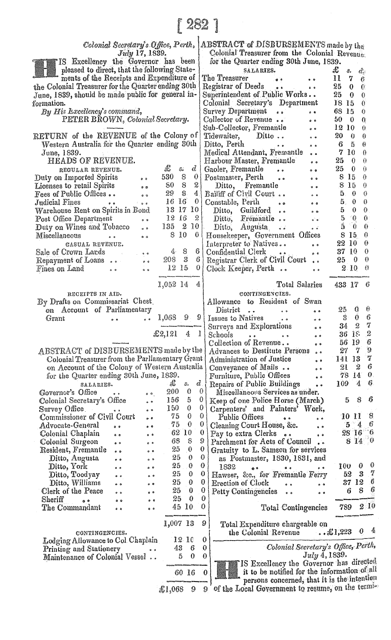| $\lceil\,282\,\rceil$                                                                                                     |                                                           |                                                                                                                                                                                                                                                                                                                                       |  |
|---------------------------------------------------------------------------------------------------------------------------|-----------------------------------------------------------|---------------------------------------------------------------------------------------------------------------------------------------------------------------------------------------------------------------------------------------------------------------------------------------------------------------------------------------|--|
| Colonial Secretary's Office, Perth,<br>ABSTRACT of DISBURSEMENTS made by the                                              |                                                           |                                                                                                                                                                                                                                                                                                                                       |  |
| July 17, 1839.                                                                                                            |                                                           | Colonial Treasurer from the Colonial Revenue.                                                                                                                                                                                                                                                                                         |  |
| IS Excellency the Governor has been<br>pleased to direct, that the following State-                                       |                                                           | for the Quarter ending 30th June, 1839.<br>J.<br>SALARIES.<br>З.<br>đ.,                                                                                                                                                                                                                                                               |  |
| ments of the Receipts and Expenditure of                                                                                  |                                                           | The Treasurer<br>п<br>7<br>6<br>$\bullet$<br>$\bullet$                                                                                                                                                                                                                                                                                |  |
| the Colonial Treasurer for the Quarter ending 30th<br>June, 1839, should be made public for general in-                   |                                                           | Registrar of Deeds<br>25<br>$\mathbf{0}$<br>0<br>$6-9$<br>Superintendent of Public Works<br>25<br>$\mathbf{0}$<br>0                                                                                                                                                                                                                   |  |
| formation.                                                                                                                |                                                           | Colonial Secretary's Department<br>18 15<br>0                                                                                                                                                                                                                                                                                         |  |
| By His Excellency's command,<br>PETER BROWN, Colonial Secretary.                                                          |                                                           | Survey Department<br>68 15<br>€<br>$\bullet$<br>Collector of Revenue<br>50<br>Q<br>$\mathbf{0}$                                                                                                                                                                                                                                       |  |
|                                                                                                                           |                                                           | $\bullet$ $\bullet$<br>Sub-Collector, Fremantle<br>12 10<br>0<br>0 <sup>o</sup>                                                                                                                                                                                                                                                       |  |
| RETURN of the REVENUE of the Colony of                                                                                    |                                                           | Tidewaiter, Ditto<br>20<br>- 0<br>0<br>$\mathbf{e}\cdot\mathbf{e}$                                                                                                                                                                                                                                                                    |  |
| Western Australia for the Quarter ending 30th<br>June, 1839.                                                              |                                                           | Ditto, Perth<br>6<br>- 5<br>θ<br>$\bullet$ $\bullet$<br>$\circ$<br>Medical Attendant, Fremantle<br>$7\,10$<br>€<br>$\bullet$ $\bullet$                                                                                                                                                                                                |  |
| HEADS OF REVENUE.                                                                                                         |                                                           | Harbour Master, Fremantle<br>25<br>$\theta$<br>0<br>0 <sub>0</sub>                                                                                                                                                                                                                                                                    |  |
| REGULAR REVENUE.<br>Duty on Imported Spirits<br>0 <sup>o</sup>                                                            | £<br>$d$  <br>s.<br>530<br>8<br>0                         | 25<br>0<br>0<br>Gaoler, Fremantie<br>0 <sub>0</sub><br>8 15<br>$\theta$<br>Postmaster, Perth<br>0 <sub>0</sub>                                                                                                                                                                                                                        |  |
| Licenses to retail Spirits<br>0 <sub>0</sub>                                                                              | 21<br>8<br>80                                             | 8 15<br>O.<br>Ditto, Fremantle<br>$\bullet$                                                                                                                                                                                                                                                                                           |  |
| <b>Fees of Public Offices</b><br>$\bullet \bullet$<br>Judicial Fines<br>$\bullet$ $\bullet$                               | 29<br>- 8<br>4 <sub>1</sub><br>16 16<br>$\ddot{\text{o}}$ | Bailiff of Civil Court<br>0<br>50<br>$\ddot{\text{o}}$ . $\dot{\text{o}}$<br>$5\quad 0$<br>$\boldsymbol{0}$<br>Constable, Perth                                                                                                                                                                                                       |  |
| $\sim 100$ and<br>Warehouse Rent on Spirits in Bond                                                                       | 13 17 10                                                  | 0 <sub>0</sub><br>0<br>50<br>Ditto, Guildford<br>$0 - 10$                                                                                                                                                                                                                                                                             |  |
| Post Office Department<br>$0-0$                                                                                           | 12 16<br>2<br>135 2 10                                    | 5 <sub>0</sub><br>0<br>Ditto, Fremantle<br>$\mathbf{s}^2$<br>5<br>0                                                                                                                                                                                                                                                                   |  |
| Duty on Wines and Tobacco<br>$\sigma$ . $\theta$<br>Miscellaneous<br>$\bullet\hspace{1mm} \bullet$<br>$\bullet$ $\bullet$ | 8 10<br>0                                                 | - 0<br>Ditto, Augusta<br>$\ddot{\bullet}$<br>8 15<br>0<br>Housekeeper, Government Offices                                                                                                                                                                                                                                             |  |
| CASUAL REVENUE.                                                                                                           |                                                           | Interpreter to Natives<br>22 10<br>0<br>$\bullet$ $\bullet$                                                                                                                                                                                                                                                                           |  |
| Sale of Crown Lards<br>Repayment of Loans<br>$\frac{1}{2}$                                                                | 48<br>6 <sup>1</sup><br>$208-3$<br>-6                     | 0<br>37 10<br>Confidential Clerk<br>0 <sup>0</sup><br>Registrar Clerk of Civil Court<br>0<br>25<br>- 0<br>$6-6$                                                                                                                                                                                                                       |  |
| Fines on Land<br>$6-9$                                                                                                    | 12 15<br>$0 \mid$                                         | 2.10<br>0<br>Clock Keeper, Perth<br>$\bullet$                                                                                                                                                                                                                                                                                         |  |
|                                                                                                                           | 1,052 14<br>4                                             | <b>Total Salaries</b><br>433.17<br>6                                                                                                                                                                                                                                                                                                  |  |
| RECEIPTS IN AID.                                                                                                          |                                                           | CONTINGENCIES.                                                                                                                                                                                                                                                                                                                        |  |
| By Drafts on Commissariat Chest.<br>on Account of Parliamentary                                                           |                                                           | Allowance to Resident of Swan<br>25<br>Q<br>U<br>District                                                                                                                                                                                                                                                                             |  |
| Grant<br>$\bullet$ $\bullet$<br>$\bullet$                                                                                 | 99<br>1,068                                               | $\bullet$ $\bullet$ $\bullet$<br>$^{\circ}$<br>6<br>3.<br>$\mathbf 0$<br>Issues to Natives<br>$\bullet$ $\bullet$                                                                                                                                                                                                                     |  |
|                                                                                                                           | £2,121<br>$4 \; 1$                                        | 7<br>2<br>Surveys and Explorations<br>34<br>$^{\circ}$<br>$\boldsymbol{2}$<br>36 IE                                                                                                                                                                                                                                                   |  |
|                                                                                                                           |                                                           | and the second second second second second second second second second second second second second second second second second second second second second second second second second second second second second second seco<br>Schools<br>$\bullet\hspace{0.4mm} \bullet$<br>6<br>Collection of Revenue<br>56 19<br>0 <sup>0</sup> |  |
| ABSTRACT of DISBURSEMENTS made by the                                                                                     |                                                           | 9<br>- 7<br>27<br>Advances to Destitute Persons<br>7<br>141 13                                                                                                                                                                                                                                                                        |  |
| Colonial Treasurer from the Parliamentary Grant<br>on Account of the Colony of Western Australia                          |                                                           | Administration of Justice<br>$\bullet$ $\bullet$<br>6<br>- 2<br>21<br>Conveyance of Mails<br>$\bullet$ $\bullet$                                                                                                                                                                                                                      |  |
| for the Quarter ending 30th June, 1839.                                                                                   |                                                           | 0.<br>Furniture, Public Offices<br>78 14<br>$\bullet$                                                                                                                                                                                                                                                                                 |  |
| SALARIES.<br>Governor's Office<br>$\bullet\quad \bullet\qquad \qquad$<br>0 <sup>10</sup>                                  | - Li<br>đ.<br>s.<br>200<br>0                              | 6<br>109 4<br>Repairs of Public Buildings<br>$\bullet$ $\bullet$<br>-01<br>Miscellaneous Services as under.                                                                                                                                                                                                                           |  |
| Colonial Secretary's Office<br>$\ddot{\phantom{0}}$                                                                       | 5<br>156                                                  | 6<br>$\theta$<br>8<br>Keep of one Police Horse (March)<br>5.                                                                                                                                                                                                                                                                          |  |
| Survey Office.<br>$\sim$ $\sim$ $\sim$<br>Commissioner of Civil Court<br>ه ه                                              | 150 -<br>0<br>0<br>75                                     | 0  <br>Carpenters' and Painters' Work,<br>0<br>10 H<br>8<br>Public Offices<br>$\bullet$<br>$^{\circ}$                                                                                                                                                                                                                                 |  |
| Advocate-General<br>$\bullet$<br>$^{\circ}$                                                                               | 75.<br>0                                                  | $5 - 4$<br>$\mathbf{0}$<br>6<br>Cleaning Court House, &c.<br>$^{\circ}$                                                                                                                                                                                                                                                               |  |
| Colonial Chaplain<br>$^{\circ}$                                                                                           | 62 10<br>68<br>8                                          | 28 16<br>''6<br>$\mathbf{0}$<br>Pay to extra Clerks<br>$\bullet$<br>$8^{+14}_{-0}$<br>9<br>Parchment for Acts of Council                                                                                                                                                                                                              |  |
| Colonial Surgeon<br>0 <sup>o</sup><br>$e^-$<br>Resident, Fremantle<br>0 <sup>o</sup><br>$^{\circ}$                        | 25<br>0                                                   | $\bf{0}$<br>Gratuity to L. Samson for services                                                                                                                                                                                                                                                                                        |  |
| Ditto, Augusta<br>$^{\circ}$                                                                                              | 25<br>$\bf{0}$                                            | 0<br>as Postmaster, 1830, 1831, and<br>0<br>0                                                                                                                                                                                                                                                                                         |  |
| Ditto, York<br>$^{\circ}$<br>$\sim$<br>Ditto, Toodyay<br>0 <sup>o</sup><br>e e                                            | 25<br>0<br>25<br>0                                        | 100<br>0<br>1832<br>$^{\circ}$<br>0 <sub>0</sub><br>7<br>з<br>υ<br>Hawser, &c., for Fremantle Ferry<br>52                                                                                                                                                                                                                             |  |
| Ditto, Williams<br>$^{\circ}$<br>$^{\circ}$                                                                               | 25<br>0                                                   | -6<br>0<br>37 12<br><b>Erection of Clock</b><br>$\bullet$<br>$\bullet$ $\bullet$                                                                                                                                                                                                                                                      |  |
| Clerk of the Peace<br>$0 - 5$<br>$^{\circ}$<br>${\rm Sheriff}$<br>$\bullet$<br>$^{\circ}$<br>$\alpha$                     | 25<br>0<br>0<br>25                                        | 6<br>8<br>0<br>6<br><b>Petty Contingencies</b><br>$\bullet$ $\bullet$<br>$\bullet$ $\bullet$<br>0                                                                                                                                                                                                                                     |  |
| The Commandant<br>$^{\circ}$<br>$^{\circ}$                                                                                | 45 10                                                     | 2/10<br>0<br>789<br>Total Contingencies                                                                                                                                                                                                                                                                                               |  |
|                                                                                                                           | 1,007 13                                                  | 9<br>Total Expenditure chargeable on                                                                                                                                                                                                                                                                                                  |  |
| CONTINGENCIES.                                                                                                            |                                                           | 嘎<br>0<br>$ \& 1,223$<br>the Colonial Revenue                                                                                                                                                                                                                                                                                         |  |
| Lodging Allowance to Col Chaplain<br>Printing and Stationery                                                              | $12\,10$<br>43<br>- 6                                     | 0<br>Colonial Secretary's Office, Perth,<br>0                                                                                                                                                                                                                                                                                         |  |
| Maintenance of Colonial Vessel                                                                                            | 0<br>5                                                    | $July\ 4,1839.$<br>$\ddot{\mathbf{0}}$                                                                                                                                                                                                                                                                                                |  |
|                                                                                                                           | 60 16                                                     | IS Excellency the Governor has directed<br>it to be notified for the information of all<br>0                                                                                                                                                                                                                                          |  |
|                                                                                                                           |                                                           | persons concerned, that it is the intention                                                                                                                                                                                                                                                                                           |  |
|                                                                                                                           | 9<br>£1,068                                               | of the Local Government to resume, on the termi-<br>9.                                                                                                                                                                                                                                                                                |  |
|                                                                                                                           |                                                           |                                                                                                                                                                                                                                                                                                                                       |  |